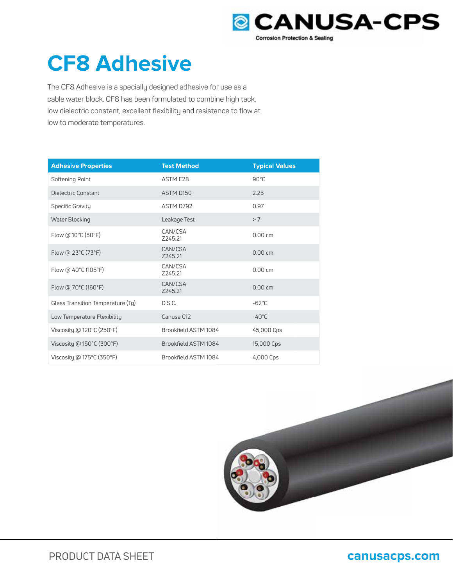

# **CF8 Adhesive**

The CF8 Adhesive is a specially designed adhesive for use as a cable water block. CF8 has been formulated to combine high tack, low dielectric constant, excellent flexibility and resistance to flow at low to moderate temperatures.

| <b>Adhesive Properties</b>                     | <b>Test Method</b>   | <b>Typical Values</b> |
|------------------------------------------------|----------------------|-----------------------|
| Softening Point                                | <b>ASTM E28</b>      | 90°C                  |
| Dielectric Constant                            | ASTM D150            | 2.25                  |
| Specific Gravity                               | ASTM D792            | 0.97                  |
| Water Blocking                                 | Leakage Test         | > 7                   |
| Flow @ 10°C (50°F)                             | CAN/CSA<br>Z245.21   | 0.00cm                |
| Flow @ $23^{\circ}$ C (73 $^{\circ}$ F)        | CAN/CSA<br>Z245.21   | $0.00 \text{ cm}$     |
| Flow @ $40^{\circ}$ C (105 $^{\circ}$ F)       | CAN/CSA<br>Z245.21   | 0.00cm                |
| Flow @ 70°C (160°F)                            | CAN/CSA<br>Z245.21   | $0.00 \text{ cm}$     |
| Glass Transition Temperature (Tg)              | D.S.C.               | $-62^{\circ}$ C       |
| Low Temperature Flexibility                    | Canusa C12           | $-40^{\circ}$ C       |
| Viscosity @ $120^{\circ}$ C (250 $^{\circ}$ F) | Brookfield ASTM 1084 | 45,000 Cps            |
| Viscosity @ $150^{\circ}$ C (300 $^{\circ}$ F) | Brookfield ASTM 1084 | 15,000 Cps            |
| Viscosity @ 175°C (350°F)                      | Brookfield ASTM 1084 | 4,000 Cps             |